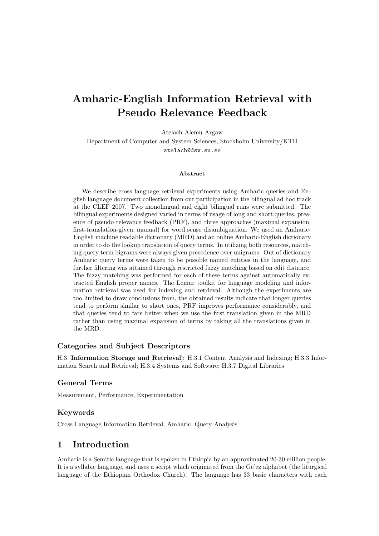# Amharic-English Information Retrieval with Pseudo Relevance Feedback

Atelach Alemu Argaw

Department of Computer and System Sciences, Stockholm University/KTH atelach@dsv.su.se

#### Abstract

We describe cross language retrieval experiments using Amharic queries and English language document collection from our participation in the bilingual ad hoc track at the CLEF 2007. Two monolingual and eight bilingual runs were submitted. The bilingual experiments designed varied in terms of usage of long and short queries, presence of pseudo relevance feedback (PRF), and three approaches (maximal expansion, first-translation-given, manual) for word sense disambiguation. We used an Amharic-English machine readable dictionary (MRD) and an online Amharic-English dictionary in order to do the lookup translation of query terms. In utilizing both resources, matching query term bigrams were always given precedence over unigrams. Out of dictionary Amharic query terms were taken to be possible named entities in the language, and further filtering was attained through restricted fuzzy matching based on edit distance. The fuzzy matching was performed for each of these terms against automatically extracted English proper names. The Lemur toolkit for language modeling and information retrieval was used for indexing and retrieval. Although the experiments are too limited to draw conclusions from, the obtained results indicate that longer queries tend to perform similar to short ones, PRF improves performance considerably, and that queries tend to fare better when we use the first translation given in the MRD rather than using maximal expansion of terms by taking all the translations given in the MRD.

#### Categories and Subject Descriptors

H.3 [Information Storage and Retrieval]: H.3.1 Content Analysis and Indexing; H.3.3 Information Search and Retrieval; H.3.4 Systems and Software; H.3.7 Digital Libraries

#### General Terms

Measurement, Performance, Experimentation

#### Keywords

Cross Language Information Retrieval, Amharic, Query Analysis

### 1 Introduction

Amharic is a Semitic language that is spoken in Ethiopia by an approximated 20-30 million people. It is a syllabic language, and uses a script which originated from the Ge'ez alphabet (the liturgical language of the Ethiopian Orthodox Church). The language has 33 basic characters with each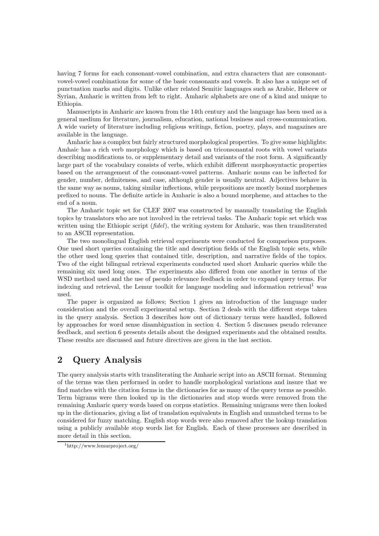having 7 forms for each consonant-vowel combination, and extra characters that are consonantvowel-vowel combinations for some of the basic consonants and vowels. It also has a unique set of punctuation marks and digits. Unlike other related Semitic languages such as Arabic, Hebrew or Syrian, Amharic is written from left to right. Amharic alphabets are one of a kind and unique to Ethiopia.

Manuscripts in Amharic are known from the 14th century and the language has been used as a general medium for literature, journalism, education, national business and cross-communication. A wide variety of literature including religious writings, fiction, poetry, plays, and magazines are available in the language.

Amharic has a complex but fairly structured morphological properties. To give some highlights: Amhaic has a rich verb morphology which is based on triconsonantal roots with vowel variants describing modifications to, or supplementary detail and variants of the root form. A significantly large part of the vocabulary consists of verbs, which exhibit different morphosyntactic properties based on the arrangement of the consonant-vowel patterns. Amharic nouns can be inflected for gender, number, definiteness, and case, although gender is usually neutral. Adjectives behave in the same way as nouns, taking similar inflections, while prepositions are mostly bound morphemes prefixed to nouns. The definite article in Amharic is also a bound morpheme, and attaches to the end of a noun.

The Amharic topic set for CLEF 2007 was constructed by manually translating the English topics by translators who are not involved in the retrieval tasks. The Amharic topic set which was written using the Ethiopic script (fidel), the writing system for Amharic, was then transliterated to an ASCII representation.

The two monolingual English retrieval experiments were conducted for comparison purposes. One used short queries containing the title and description fields of the English topic sets, while the other used long queries that contained title, description, and narrative fields of the topics. Two of the eight bilingual retrieval experiments conducted used short Amharic queries while the remaining six used long ones. The experiments also differed from one another in terms of the WSD method used and the use of pseudo relevance feedback in order to expand query terms. For indexing and retrieval, the Lemur toolkit for language modeling and information retrieval<sup>1</sup> was used.

The paper is organized as follows; Section 1 gives an introduction of the language under consideration and the overall experimental setup. Section 2 deals with the different steps taken in the query analysis. Section 3 describes how out of dictionary terms were handled, followed by approaches for word sense disambiguation in section 4. Section 5 discusses pseudo relevance feedback, and section 6 presents details about the designed experiments and the obtained results. These results are discussed and future directives are given in the last section.

# 2 Query Analysis

The query analysis starts with transliterating the Amharic script into an ASCII format. Stemming of the terms was then performed in order to handle morphological variations and insure that we find matches with the citation forms in the dictionaries for as many of the query terms as possible. Term bigrams were then looked up in the dictionaries and stop words were removed from the remaining Amharic query words based on corpus statistics. Remaining unigrams were then looked up in the dictionaries, giving a list of translation equivalents in English and unmatched terms to be considered for fuzzy matching. English stop words were also removed after the lookup translation using a publicly available stop words list for English. Each of these processes are described in more detail in this section.

<sup>1</sup>http://www.lemurproject.org/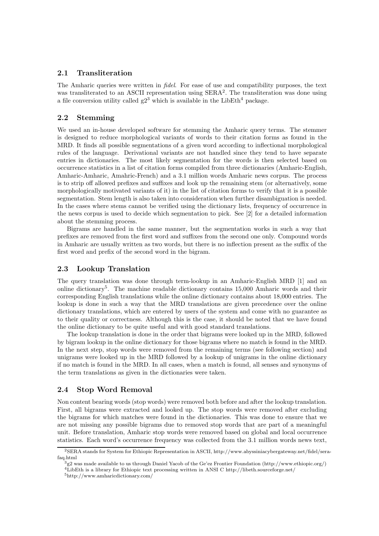#### 2.1 Transliteration

The Amharic queries were written in fidel. For ease of use and compatibility purposes, the text was transliterated to an ASCII representation using SERA<sup>2</sup>. The transliteration was done using a file conversion utility called  $g2^3$  which is available in the LibEth<sup>4</sup> package.

#### 2.2 Stemming

We used an in-house developed software for stemming the Amharic query terms. The stemmer is designed to reduce morphological variants of words to their citation forms as found in the MRD. It finds all possible segmentations of a given word according to inflectional morphological rules of the language. Derivational variants are not handled since they tend to have separate entries in dictionaries. The most likely segmentation for the words is then selected based on occurrence statistics in a list of citation forms compiled from three dictionaries (Amharic-English, Amharic-Amharic, Amahric-French) and a 3.1 million words Amharic news corpus. The process is to strip off allowed prefixes and suffixes and look up the remaining stem (or alternatively, some morphologically motivated variants of it) in the list of citation forms to verify that it is a possible segmentation. Stem length is also taken into consideration when further disambiguation is needed. In the cases where stems cannot be verified using the dictionary lists, frequency of occurrence in the news corpus is used to decide which segmentation to pick. See [2] for a detailed information about the stemming process.

Bigrams are handled in the same manner, but the segmentation works in such a way that prefixes are removed from the first word and suffixes from the second one only. Compound words in Amharic are usually written as two words, but there is no inflection present as the suffix of the first word and prefix of the second word in the bigram.

#### 2.3 Lookup Translation

The query translation was done through term-lookup in an Amharic-English MRD [1] and an online dictionary<sup>5</sup>. The machine readable dictionary contains 15,000 Amharic words and their corresponding English translations while the online dictionary contains about 18,000 entries. The lookup is done in such a way that the MRD translations are given precedence over the online dictionary translations, which are entered by users of the system and come with no guarantee as to their quality or correctness. Although this is the case, it should be noted that we have found the online dictionary to be quite useful and with good standard translations.

The lookup translation is done in the order that bigrams were looked up in the MRD, followed by bigram lookup in the online dictionary for those bigrams where no match is found in the MRD. In the next step, stop words were removed from the remaining terms (see following section) and unigrams were looked up in the MRD followed by a lookup of unigrams in the online dictionary if no match is found in the MRD. In all cases, when a match is found, all senses and synonyms of the term translations as given in the dictionaries were taken.

#### 2.4 Stop Word Removal

Non content bearing words (stop words) were removed both before and after the lookup translation. First, all bigrams were extracted and looked up. The stop words were removed after excluding the bigrams for which matches were found in the dictionaries. This was done to ensure that we are not missing any possible bigrams due to removed stop words that are part of a meaningful unit. Before translation, Amharic stop words were removed based on global and local occurrence statistics. Each word's occurrence frequency was collected from the 3.1 million words news text,

<sup>2</sup>SERA stands for System for Ethiopic Representation in ASCII, http://www.abyssiniacybergateway.net/fidel/serafaq.html

<sup>&</sup>lt;sup>3</sup>g2 was made available to us through Daniel Yacob of the Ge'ez Frontier Foundation (http://www.ethiopic.org/) <sup>4</sup>LibEth is a library for Ethiopic text processing written in ANSI C http://libeth.sourceforge.net/

<sup>5</sup>http://www.amharicdictionary.com/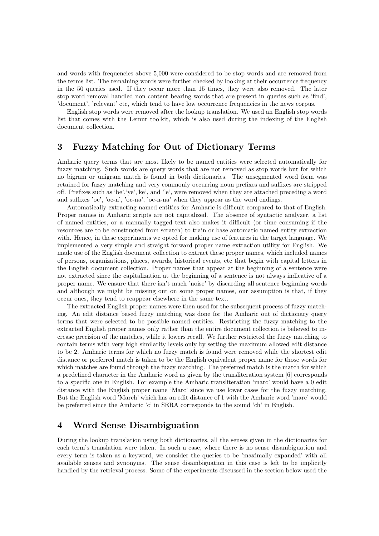and words with frequencies above 5,000 were considered to be stop words and are removed from the terms list. The remaining words were further checked by looking at their occurrence frequency in the 50 queries used. If they occur more than 15 times, they were also removed. The later stop word removal handled non content bearing words that are present in queries such as 'find', 'document', 'relevant' etc, which tend to have low occurrence frequencies in the news corpus.

English stop words were removed after the lookup translation. We used an English stop words list that comes with the Lemur toolkit, which is also used during the indexing of the English document collection.

# 3 Fuzzy Matching for Out of Dictionary Terms

Amharic query terms that are most likely to be named entities were selected automatically for fuzzy matching. Such words are query words that are not removed as stop words but for which no bigram or unigram match is found in both dictionaries. The unsegmented word form was retained for fuzzy matching and very commonly occurring noun prefixes and suffixes are stripped off. Prefixes such as 'be','ye','ke', and 'le', were removed when they are attached preceding a word and suffixes 'oc', 'oc-n', 'oc-na', 'oc-n-na' when they appear as the word endings.

Automatically extracting named entities for Amharic is difficult compared to that of English. Proper names in Amharic scripts are not capitalized. The absence of syntactic analyzer, a list of named entities, or a manually tagged text also makes it difficult (or time consuming if the resources are to be constructed from scratch) to train or base automatic named entity extraction with. Hence, in these experiments we opted for making use of features in the target language. We implemented a very simple and straight forward proper name extraction utility for English. We made use of the English document collection to extract these proper names, which included names of persons, organizations, places, awards, historical events, etc that begin with capital letters in the English document collection. Proper names that appear at the beginning of a sentence were not extracted since the capitalization at the beginning of a sentence is not always indicative of a proper name. We ensure that there isn't much 'noise' by discarding all sentence beginning words and although we might be missing out on some proper names, our assumption is that, if they occur ones, they tend to reappear elsewhere in the same text.

The extracted English proper names were then used for the subsequent process of fuzzy matching. An edit distance based fuzzy matching was done for the Amharic out of dictionary query terms that were selected to be possible named entities. Restricting the fuzzy matching to the extracted English proper names only rather than the entire document collection is believed to increase precision of the matches, while it lowers recall. We further restricted the fuzzy matching to contain terms with very high similarity levels only by setting the maximum allowed edit distance to be 2. Amharic terms for which no fuzzy match is found were removed while the shortest edit distance or preferred match is taken to be the English equivalent proper name for those words for which matches are found through the fuzzy matching. The preferred match is the match for which a predefined character in the Amharic word as given by the transliteration system [6] corresponds to a specific one in English. For example the Amharic transliteration 'marc' would have a 0 edit distance with the English proper name 'Marc' since we use lower cases for the fuzzy matching. But the English word 'March' which has an edit distance of 1 with the Amharic word 'marc' would be preferred since the Amharic 'c' in SERA corresponds to the sound 'ch' in English.

# 4 Word Sense Disambiguation

During the lookup translation using both dictionaries, all the senses given in the dictionaries for each term's translation were taken. In such a case, where there is no sense disambiguation and every term is taken as a keyword, we consider the queries to be 'maximally expanded' with all available senses and synonyms. The sense disambiguation in this case is left to be implicitly handled by the retrieval process. Some of the experiments discussed in the section below used the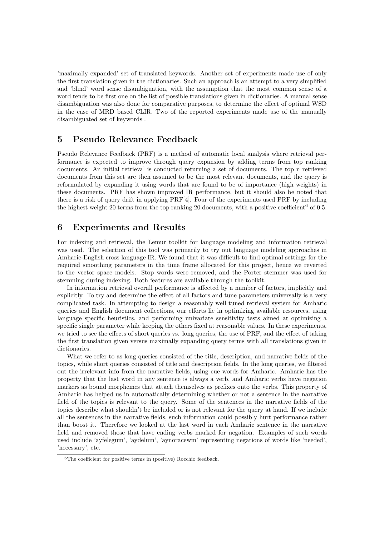'maximally expanded' set of translated keywords. Another set of experiments made use of only the first translation given in the dictionaries. Such an approach is an attempt to a very simplified and 'blind' word sense disambiguation, with the assumption that the most common sense of a word tends to be first one on the list of possible translations given in dictionaries. A manual sense disambiguation was also done for comparative purposes, to determine the effect of optimal WSD in the case of MRD based CLIR. Two of the reported experiments made use of the manually disambiguated set of keywords .

# 5 Pseudo Relevance Feedback

Pseudo Relevance Feedback (PRF) is a method of automatic local analysis where retrieval performance is expected to improve through query expansion by adding terms from top ranking documents. An initial retrieval is conducted returning a set of documents. The top n retrieved documents from this set are then assumed to be the most relevant documents, and the query is reformulated by expanding it using words that are found to be of importance (high weights) in these documents. PRF has shown improved IR performance, but it should also be noted that there is a risk of query drift in applying PRF[4]. Four of the experiments used PRF by including the highest weight 20 terms from the top ranking 20 documents, with a positive coefficient  $6 \times 6.5$ .

# 6 Experiments and Results

For indexing and retrieval, the Lemur toolkit for language modeling and information retrieval was used. The selection of this tool was primarily to try out language modeling approaches in Amharic-English cross language IR. We found that it was difficult to find optimal settings for the required smoothing parameters in the time frame allocated for this project, hence we reverted to the vector space models. Stop words were removed, and the Porter stemmer was used for stemming during indexing. Both features are available through the toolkit.

In information retrieval overall performance is affected by a number of factors, implicitly and explicitly. To try and determine the effect of all factors and tune parameters universally is a very complicated task. In attempting to design a reasonably well tuned retrieval system for Amharic queries and English document collections, our efforts lie in optimizing available resources, using language specific heuristics, and performing univariate sensitivity tests aimed at optimizing a specific single parameter while keeping the others fixed at reasonable values. In these experiments, we tried to see the effects of short queries vs. long queries, the use of PRF, and the effect of taking the first translation given versus maximally expanding query terms with all translations given in dictionaries.

What we refer to as long queries consisted of the title, description, and narrative fields of the topics, while short queries consisted of title and description fields. In the long queries, we filtered out the irrelevant info from the narrative fields, using cue words for Amharic. Amharic has the property that the last word in any sentence is always a verb, and Amharic verbs have negation markers as bound morphemes that attach themselves as prefixes onto the verbs. This property of Amharic has helped us in automatically determining whether or not a sentence in the narrative field of the topics is relevant to the query. Some of the sentences in the narrative fields of the topics describe what shouldn't be included or is not relevant for the query at hand. If we include all the sentences in the narrative fields, such information could possibly hurt performance rather than boost it. Therefore we looked at the last word in each Amharic sentence in the narrative field and removed those that have ending verbs marked for negation. Examples of such words used include 'ayfelegum', 'aydelum', 'aynoracewm' representing negations of words like 'needed', 'necessary', etc.

 ${}^{6}$ The coefficient for positive terms in (positive) Rocchio feedback.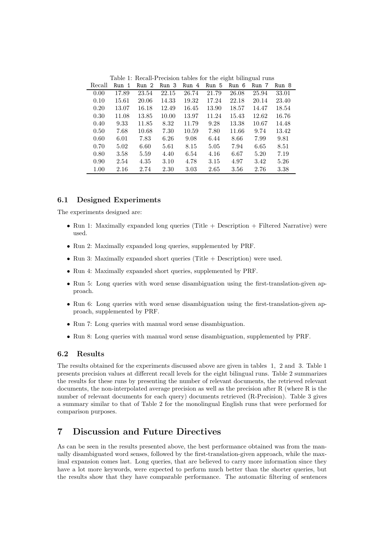| Recall | Lable 1. Recall-1 recision tables for the eight biningual runs<br>Run 2<br>Run 3<br>Run 4<br>Run 5<br>Run 1<br>Run 7 |       |       |       |       |       |       |       |
|--------|----------------------------------------------------------------------------------------------------------------------|-------|-------|-------|-------|-------|-------|-------|
|        |                                                                                                                      |       |       |       |       | Run 6 |       | Run 8 |
| 0.00   | 17.89                                                                                                                | 23.54 | 22.15 | 26.74 | 21.79 | 26.08 | 25.94 | 33.01 |
| 0.10   | 15.61                                                                                                                | 20.06 | 14.33 | 19.32 | 17.24 | 22.18 | 20.14 | 23.40 |
| 0.20   | 13.07                                                                                                                | 16.18 | 12.49 | 16.45 | 13.90 | 18.57 | 14.47 | 18.54 |
| 0.30   | 11.08                                                                                                                | 13.85 | 10.00 | 13.97 | 11.24 | 15.43 | 12.62 | 16.76 |
| 0.40   | 9.33                                                                                                                 | 11.85 | 8.32  | 11.79 | 9.28  | 13.38 | 10.67 | 14.48 |
| 0.50   | 7.68                                                                                                                 | 10.68 | 7.30  | 10.59 | 7.80  | 11.66 | 9.74  | 13.42 |
| 0.60   | 6.01                                                                                                                 | 7.83  | 6.26  | 9.08  | 6.44  | 8.66  | 7.99  | 9.81  |
| 0.70   | 5.02                                                                                                                 | 6.60  | 5.61  | 8.15  | 5.05  | 7.94  | 6.65  | 8.51  |
| 0.80   | 3.58                                                                                                                 | 5.59  | 4.40  | 6.54  | 4.16  | 6.67  | 5.20  | 7.19  |
| 0.90   | 2.54                                                                                                                 | 4.35  | 3.10  | 4.78  | 3.15  | 4.97  | 3.42  | 5.26  |
| 1.00   | 2.16                                                                                                                 | 2.74  | 2.30  | 3.03  | 2.65  | 3.56  | 2.76  | 3.38  |

Table 1: Recall-Precision tables for the eight bilingual runs

#### 6.1 Designed Experiments

The experiments designed are:

- Run 1: Maximally expanded long queries (Title  $+$  Description  $+$  Filtered Narrative) were used.
- Run 2: Maximally expanded long queries, supplemented by PRF.
- Run 3: Maximally expanded short queries (Title  $+$  Description) were used.
- Run 4: Maximally expanded short queries, supplemented by PRF.
- Run 5: Long queries with word sense disambiguation using the first-translation-given approach.
- Run 6: Long queries with word sense disambiguation using the first-translation-given approach, supplemented by PRF.
- Run 7: Long queries with manual word sense disambiguation.
- Run 8: Long queries with manual word sense disambiguation, supplemented by PRF.

#### 6.2 Results

The results obtained for the experiments discussed above are given in tables 1, 2 and 3. Table 1 presents precision values at different recall levels for the eight bilingual runs. Table 2 summarizes the results for these runs by presenting the number of relevant documents, the retrieved relevant documents, the non-interpolated average precision as well as the precision after R (where R is the number of relevant documents for each query) documents retrieved (R-Precision). Table 3 gives a summary similar to that of Table 2 for the monolingual English runs that were performed for comparison purposes.

# 7 Discussion and Future Directives

As can be seen in the results presented above, the best performance obtained was from the manually disambiguated word senses, followed by the first-translation-given approach, while the maximal expansion comes last. Long queries, that are believed to carry more information since they have a lot more keywords, were expected to perform much better than the shorter queries, but the results show that they have comparable performance. The automatic filtering of sentences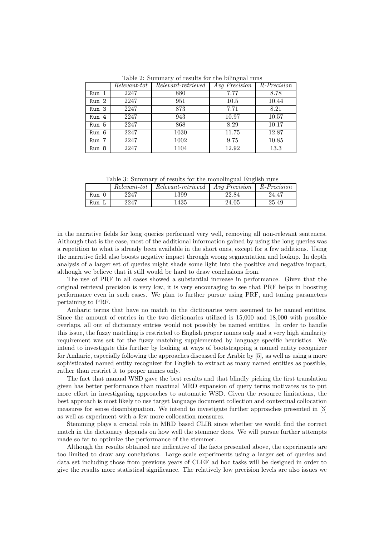|       | $Relevant-tot$ | Relevant-retrieved | Avg Precision | R-Precision |
|-------|----------------|--------------------|---------------|-------------|
| Run 1 | 2247           | 880                | 7.77          | 8.78        |
| Run 2 | 2247           | 951                | 10.5          | 10.44       |
| Run 3 | 2247           | 873                | 7.71          | 8.21        |
| Run 4 | 2247           | 943                | 10.97         | 10.57       |
| Run 5 | 2247           | 868                | 8.29          | 10.17       |
| Run 6 | 2247           | 1030               | 11.75         | 12.87       |
| Run 7 | 2247           | 1002               | 9.75          | 10.85       |
| Run 8 | 2247           | 1104               | 12.92         | 13.3        |

Table 2: Summary of results for the bilingual runs

Table 3: Summary of results for the monolingual English runs

|     | Relevant-tot | $Relevant-retrieved$ | Ava Precision | R-Precision |
|-----|--------------|----------------------|---------------|-------------|
| Run | 2247         | 1399                 | 22.84         |             |
| Run | 2247         | 1435                 | 24.05         | 25.49       |

in the narrative fields for long queries performed very well, removing all non-relevant sentences. Although that is the case, most of the additional information gained by using the long queries was a repetition to what is already been available in the short ones, except for a few additions. Using the narrative field also boosts negative impact through wrong segmentation and lookup. In depth analysis of a larger set of queries might shade some light into the positive and negative impact, although we believe that it still would be hard to draw conclusions from.

The use of PRF in all cases showed a substantial increase in performance. Given that the original retrieval precision is very low, it is very encouraging to see that PRF helps in boosting performance even in such cases. We plan to further pursue using PRF, and tuning parameters pertaining to PRF.

Amharic terms that have no match in the dictionaries were assumed to be named entities. Since the amount of entries in the two dictionaries utilized is 15,000 and 18,000 with possible overlaps, all out of dictionary entries would not possibly be named entities. In order to handle this issue, the fuzzy matching is restricted to English proper names only and a very high similarity requirement was set for the fuzzy matching supplemented by language specific heuristics. We intend to investigate this further by looking at ways of bootstrapping a named entity recognizer for Amharic, especially following the approaches discussed for Arabic by [5], as well as using a more sophisticated named entity recognizer for English to extract as many named entities as possible, rather than restrict it to proper names only.

The fact that manual WSD gave the best results and that blindly picking the first translation given has better performance than maximal MRD expansion of query terms motivates us to put more effort in investigating approaches to automatic WSD. Given the resource limitations, the best approach is most likely to use target language document collection and contextual collocation measures for sense disambiguation. We intend to investigate further approaches presented in [3] as well as experiment with a few more collocation measures.

Stemming plays a crucial role in MRD based CLIR since whether we would find the correct match in the dictionary depends on how well the stemmer does. We will pursue further attempts made so far to optimize the performance of the stemmer.

Although the results obtained are indicative of the facts presented above, the experiments are too limited to draw any conclusions. Large scale experiments using a larger set of queries and data set including those from previous years of CLEF ad hoc tasks will be designed in order to give the results more statistical significance. The relatively low precision levels are also issues we